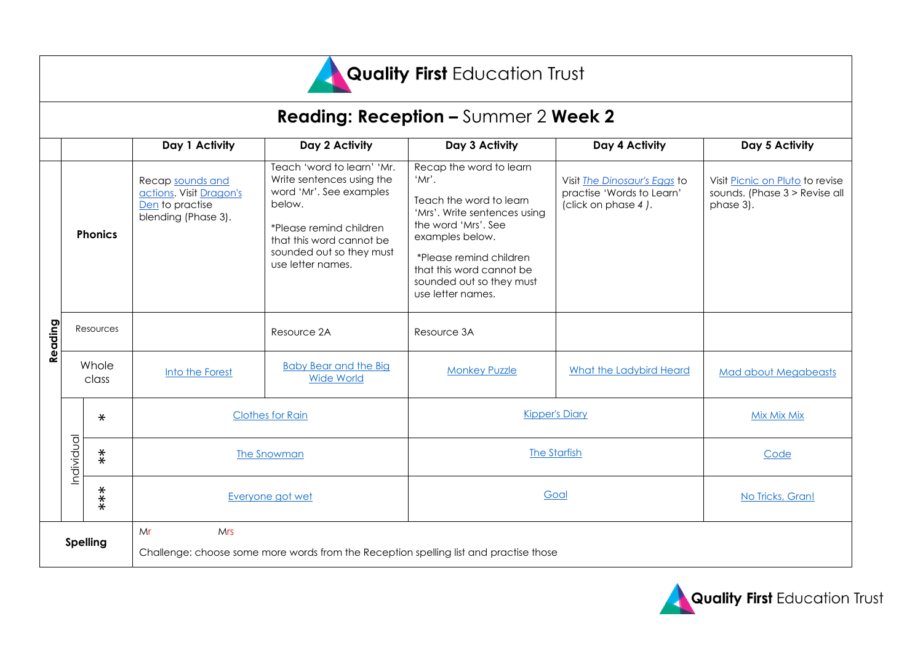

## **Reading: Reception –** Summer 2 **Week 2**

|                 |                |                   | Day 1 Activity                                                                        | Day 2 Activity                                                                                                                                                                                       | Day 3 Activity                                                                                                                                                                                                                                | Day 4 Activity                                                                   | Day 5 Activity                                                                |
|-----------------|----------------|-------------------|---------------------------------------------------------------------------------------|------------------------------------------------------------------------------------------------------------------------------------------------------------------------------------------------------|-----------------------------------------------------------------------------------------------------------------------------------------------------------------------------------------------------------------------------------------------|----------------------------------------------------------------------------------|-------------------------------------------------------------------------------|
|                 |                |                   |                                                                                       |                                                                                                                                                                                                      |                                                                                                                                                                                                                                               |                                                                                  |                                                                               |
| Reading         | <b>Phonics</b> |                   | Recap sounds and<br>actions. Visit Dragon's<br>Den to practise<br>blending (Phase 3). | Teach 'word to learn' 'Mr.<br>Write sentences using the<br>word 'Mr'. See examples<br>below.<br>*Please remind children<br>that this word cannot be<br>sounded out so they must<br>use letter names. | Recap the word to learn<br>'Mr'.<br>Teach the word to learn<br>'Mrs'. Write sentences using<br>the word 'Mrs', See<br>examples below.<br>*Please remind children<br>that this word cannot be<br>sounded out so they must<br>use letter names. | Visit The Dinosaur's Eggs to<br>practise 'Words to Learn'<br>(click on phase 4). | Visit Picnic on Pluto to revise<br>sounds. (Phase 3 > Revise all<br>phase 3). |
|                 | Resources      |                   |                                                                                       | Resource 2A                                                                                                                                                                                          | Resource 3A                                                                                                                                                                                                                                   |                                                                                  |                                                                               |
|                 | Whole<br>class |                   | Into the Forest                                                                       | <b>Baby Bear and the Big</b><br><b>Wide World</b>                                                                                                                                                    | <b>Monkey Puzzle</b>                                                                                                                                                                                                                          | What the Ladybird Heard                                                          | <b>Mad about Megabeasts</b>                                                   |
|                 | Individual     | $\ast$            | <b>Clothes for Rain</b>                                                               |                                                                                                                                                                                                      | <b>Kipper's Diary</b>                                                                                                                                                                                                                         |                                                                                  | <b>Mix Mix Mix</b>                                                            |
|                 |                | $\stackrel{*}{*}$ | <b>The Snowman</b>                                                                    |                                                                                                                                                                                                      | <b>The Starfish</b>                                                                                                                                                                                                                           |                                                                                  | Code                                                                          |
|                 |                | $***$             | Everyone got wet                                                                      |                                                                                                                                                                                                      | Goal                                                                                                                                                                                                                                          |                                                                                  | No Tricks, Gran!                                                              |
| <b>Spelling</b> |                |                   | Mr<br><b>Mrs</b>                                                                      |                                                                                                                                                                                                      |                                                                                                                                                                                                                                               |                                                                                  |                                                                               |
|                 |                |                   | Challenge: choose some more words from the Reception spelling list and practise those |                                                                                                                                                                                                      |                                                                                                                                                                                                                                               |                                                                                  |                                                                               |

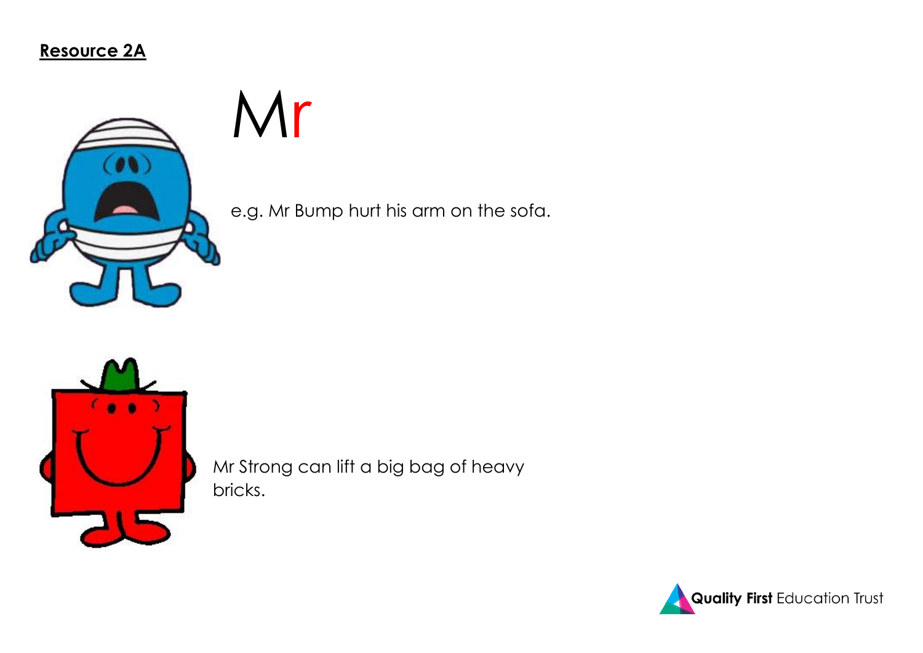**Resource 2A**



Mr

e.g. Mr Bump hurt his arm on the sofa.



Mr Strong can lift a big bag of heavy bricks.